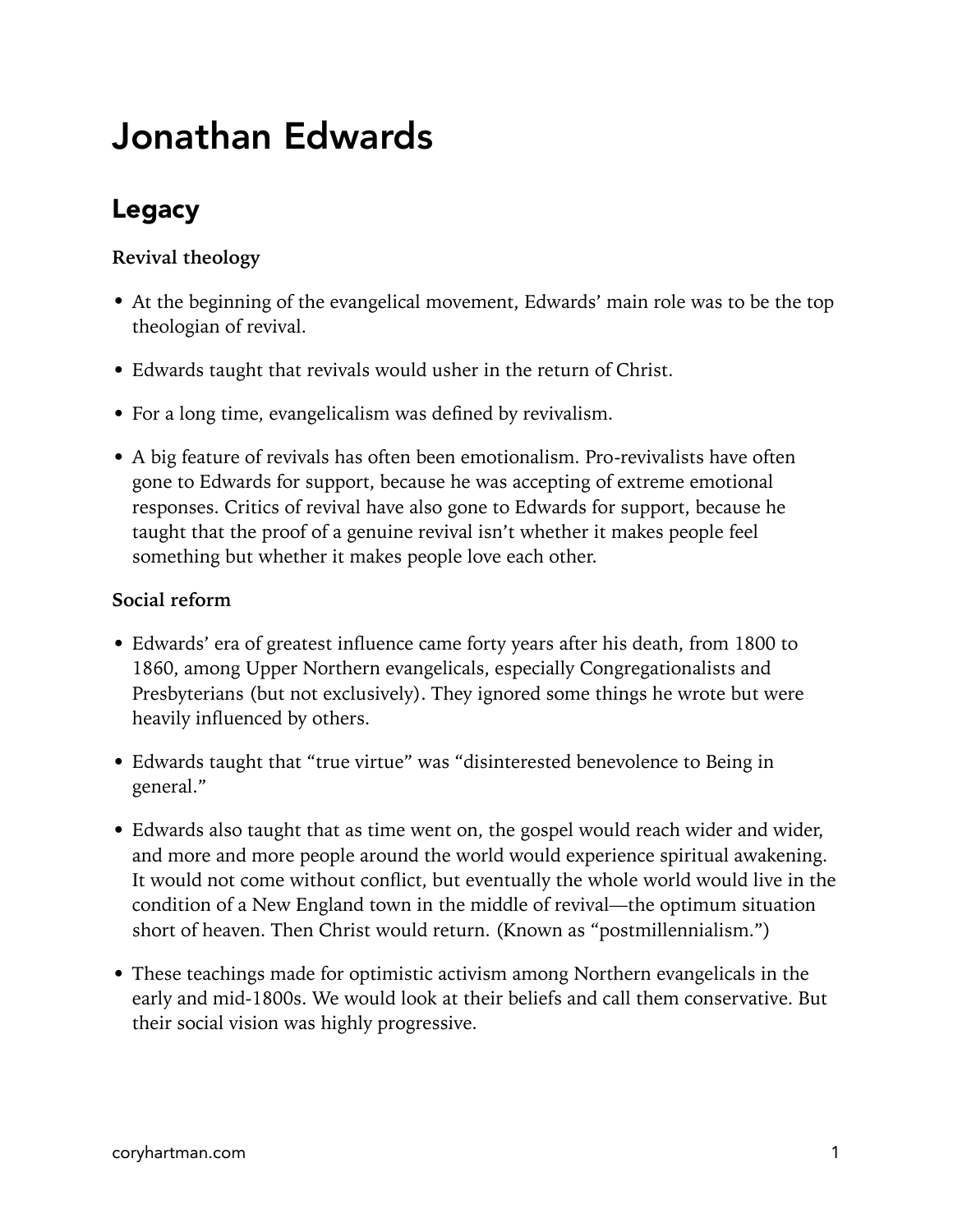# Jonathan Edwards

## Legacy

### **Revival theology**

- At the beginning of the evangelical movement, Edwards' main role was to be the top theologian of revival.
- Edwards taught that revivals would usher in the return of Christ.
- For a long time, evangelicalism was defined by revivalism.
- A big feature of revivals has often been emotionalism. Pro-revivalists have often gone to Edwards for support, because he was accepting of extreme emotional responses. Critics of revival have also gone to Edwards for support, because he taught that the proof of a genuine revival isn't whether it makes people feel something but whether it makes people love each other.

#### **Social reform**

- Edwards' era of greatest influence came forty years after his death, from 1800 to 1860, among Upper Northern evangelicals, especially Congregationalists and Presbyterians (but not exclusively). They ignored some things he wrote but were heavily influenced by others.
- Edwards taught that "true virtue" was "disinterested benevolence to Being in general."
- Edwards also taught that as time went on, the gospel would reach wider and wider, and more and more people around the world would experience spiritual awakening. It would not come without conflict, but eventually the whole world would live in the condition of a New England town in the middle of revival—the optimum situation short of heaven. Then Christ would return. (Known as "postmillennialism.")
- These teachings made for optimistic activism among Northern evangelicals in the early and mid-1800s. We would look at their beliefs and call them conservative. But their social vision was highly progressive.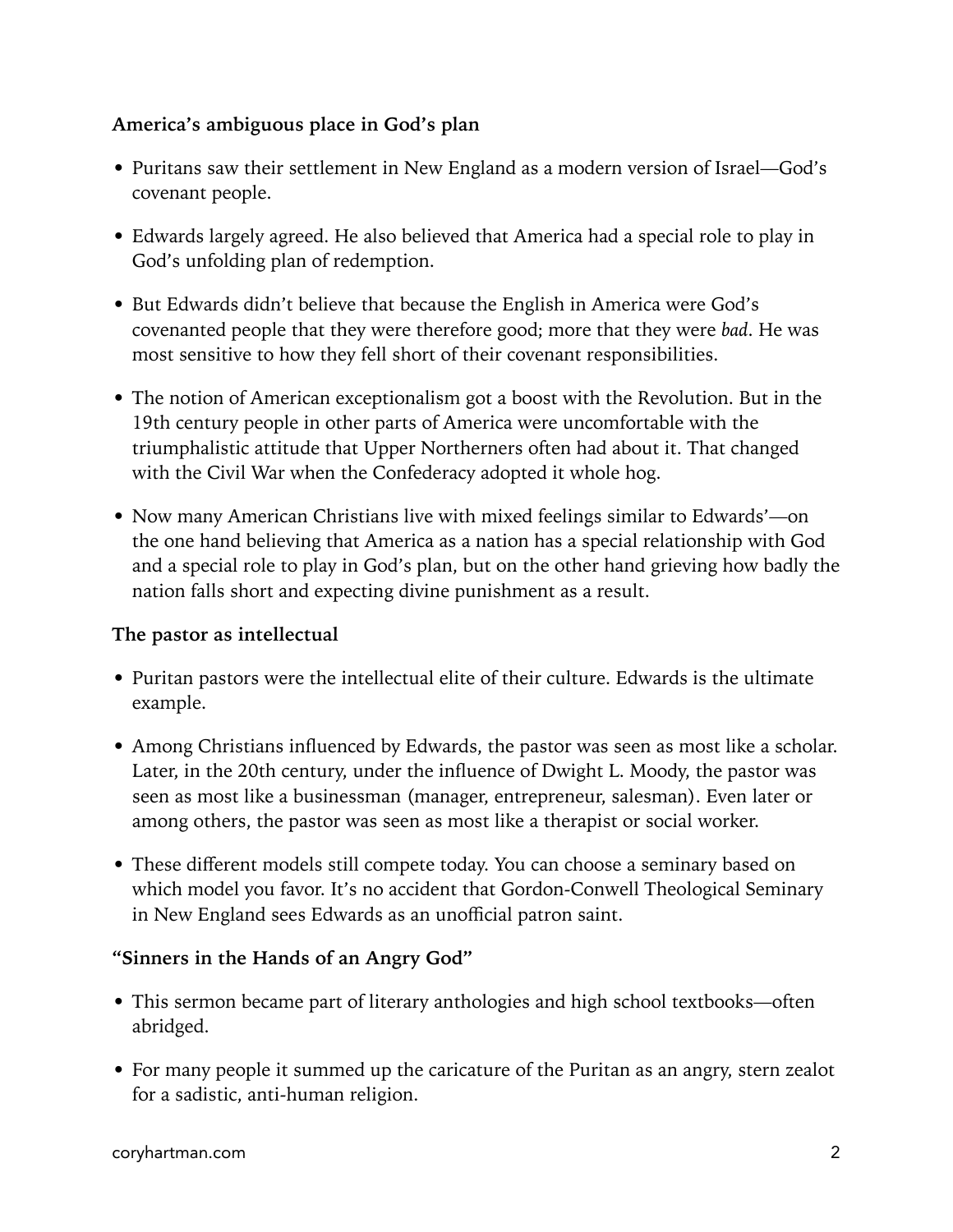#### **America's ambiguous place in God's plan**

- Puritans saw their settlement in New England as a modern version of Israel—God's covenant people.
- Edwards largely agreed. He also believed that America had a special role to play in God's unfolding plan of redemption.
- But Edwards didn't believe that because the English in America were God's covenanted people that they were therefore good; more that they were *bad*. He was most sensitive to how they fell short of their covenant responsibilities.
- The notion of American exceptionalism got a boost with the Revolution. But in the 19th century people in other parts of America were uncomfortable with the triumphalistic attitude that Upper Northerners often had about it. That changed with the Civil War when the Confederacy adopted it whole hog.
- Now many American Christians live with mixed feelings similar to Edwards'—on the one hand believing that America as a nation has a special relationship with God and a special role to play in God's plan, but on the other hand grieving how badly the nation falls short and expecting divine punishment as a result.

#### **The pastor as intellectual**

- Puritan pastors were the intellectual elite of their culture. Edwards is the ultimate example.
- Among Christians influenced by Edwards, the pastor was seen as most like a scholar. Later, in the 20th century, under the influence of Dwight L. Moody, the pastor was seen as most like a businessman (manager, entrepreneur, salesman). Even later or among others, the pastor was seen as most like a therapist or social worker.
- These different models still compete today. You can choose a seminary based on which model you favor. It's no accident that Gordon-Conwell Theological Seminary in New England sees Edwards as an unofficial patron saint.

#### **"Sinners in the Hands of an Angry God"**

- This sermon became part of literary anthologies and high school textbooks—often abridged.
- For many people it summed up the caricature of the Puritan as an angry, stern zealot for a sadistic, anti-human religion.